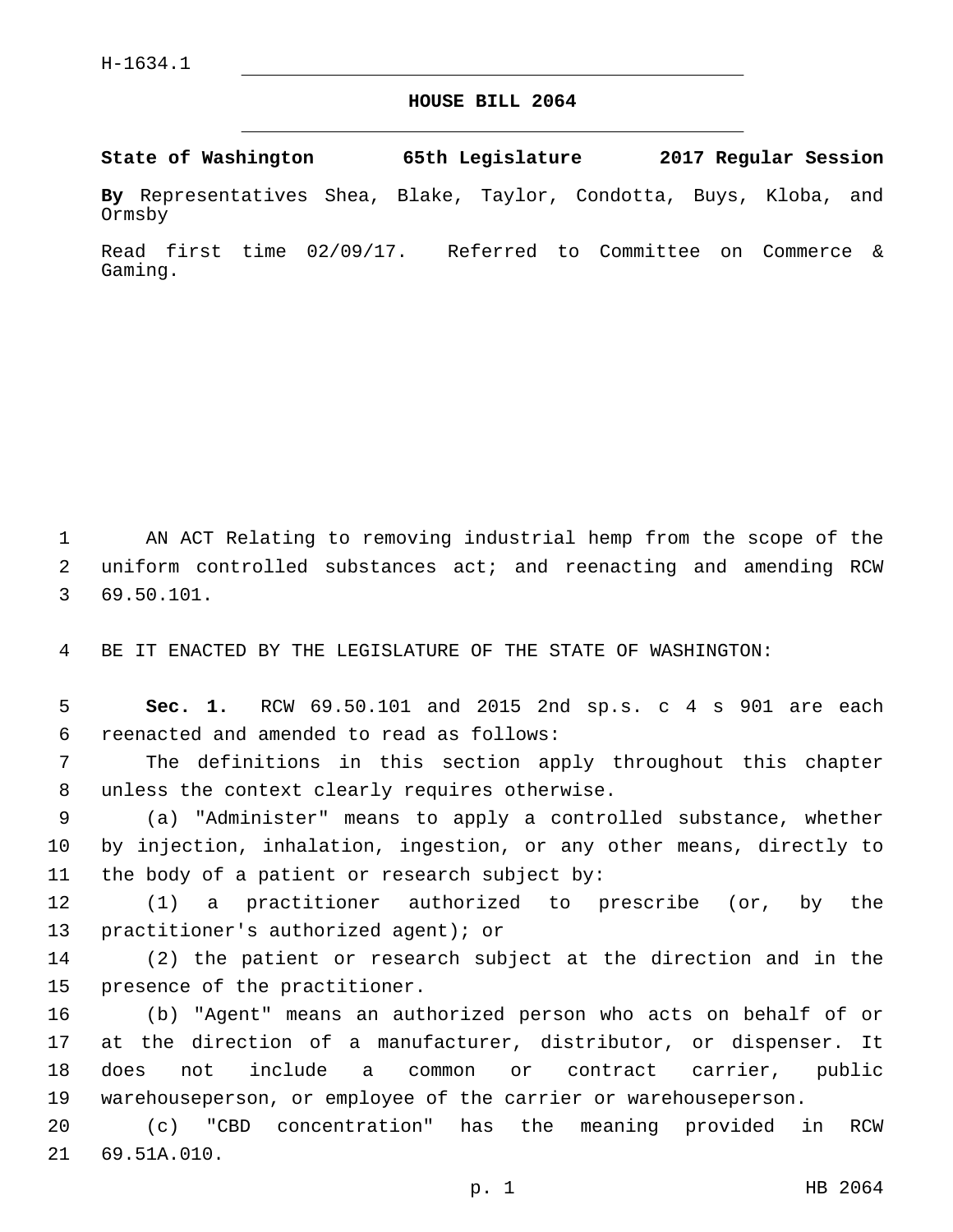## **HOUSE BILL 2064**

**State of Washington 65th Legislature 2017 Regular Session**

**By** Representatives Shea, Blake, Taylor, Condotta, Buys, Kloba, and Ormsby

Read first time 02/09/17. Referred to Committee on Commerce & Gaming.

1 AN ACT Relating to removing industrial hemp from the scope of the 2 uniform controlled substances act; and reenacting and amending RCW 69.50.101.3

4 BE IT ENACTED BY THE LEGISLATURE OF THE STATE OF WASHINGTON:

5 **Sec. 1.** RCW 69.50.101 and 2015 2nd sp.s. c 4 s 901 are each reenacted and amended to read as follows:6

7 The definitions in this section apply throughout this chapter 8 unless the context clearly requires otherwise.

9 (a) "Administer" means to apply a controlled substance, whether 10 by injection, inhalation, ingestion, or any other means, directly to 11 the body of a patient or research subject by:

12 (1) a practitioner authorized to prescribe (or, by the 13 practitioner's authorized agent); or

14 (2) the patient or research subject at the direction and in the 15 presence of the practitioner.

 (b) "Agent" means an authorized person who acts on behalf of or at the direction of a manufacturer, distributor, or dispenser. It does not include a common or contract carrier, public warehouseperson, or employee of the carrier or warehouseperson.

20 (c) "CBD concentration" has the meaning provided in RCW 21 69.51A.010.

p. 1 HB 2064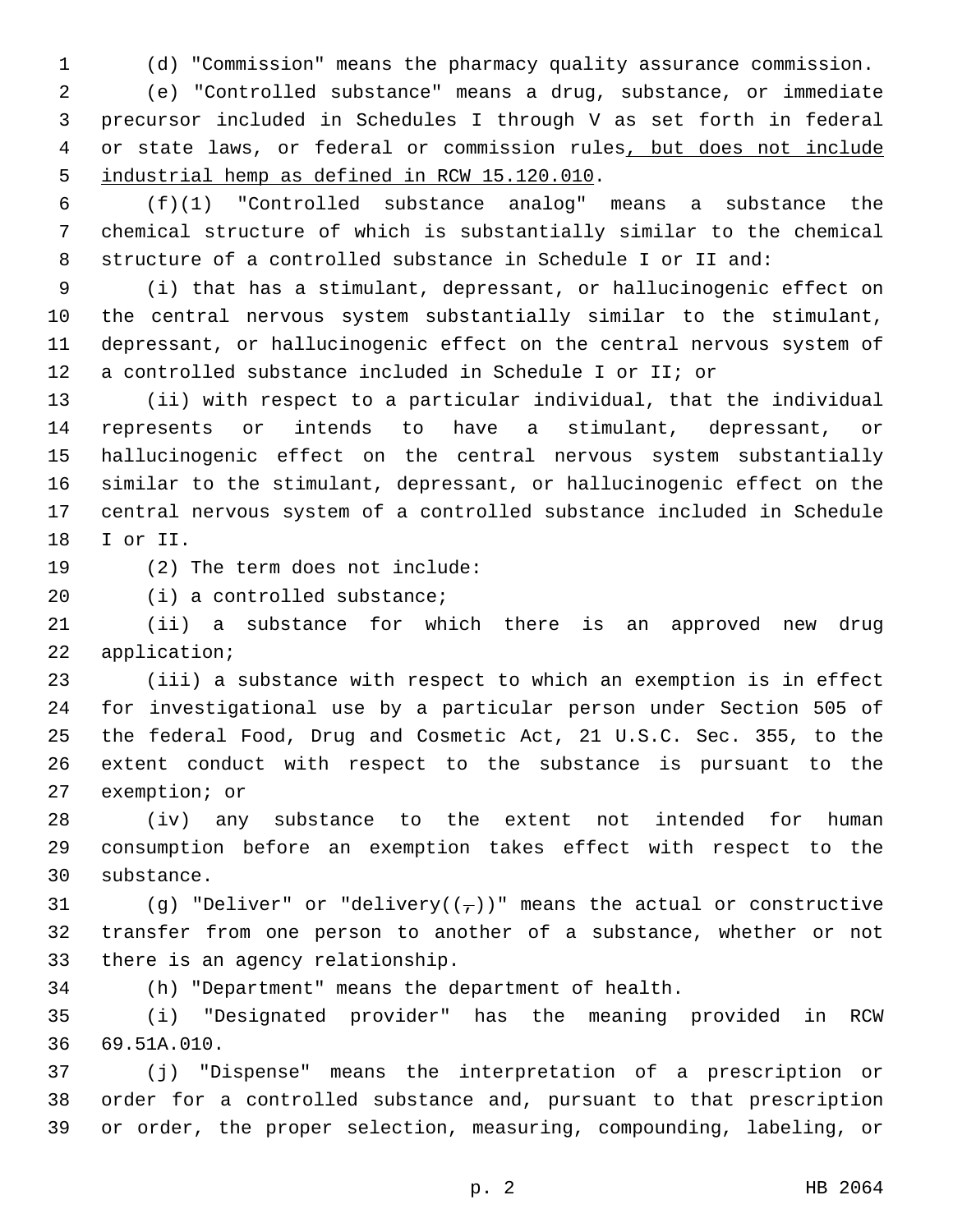(d) "Commission" means the pharmacy quality assurance commission.

 (e) "Controlled substance" means a drug, substance, or immediate precursor included in Schedules I through V as set forth in federal or state laws, or federal or commission rules, but does not include 5 industrial hemp as defined in RCW 15.120.010.

 (f)(1) "Controlled substance analog" means a substance the chemical structure of which is substantially similar to the chemical structure of a controlled substance in Schedule I or II and:

 (i) that has a stimulant, depressant, or hallucinogenic effect on the central nervous system substantially similar to the stimulant, depressant, or hallucinogenic effect on the central nervous system of a controlled substance included in Schedule I or II; or

 (ii) with respect to a particular individual, that the individual represents or intends to have a stimulant, depressant, or hallucinogenic effect on the central nervous system substantially similar to the stimulant, depressant, or hallucinogenic effect on the central nervous system of a controlled substance included in Schedule 18 I or II.

19 (2) The term does not include:

20 (i) a controlled substance;

 (ii) a substance for which there is an approved new drug 22 application;

 (iii) a substance with respect to which an exemption is in effect for investigational use by a particular person under Section 505 of the federal Food, Drug and Cosmetic Act, 21 U.S.C. Sec. 355, to the extent conduct with respect to the substance is pursuant to the 27 exemption; or

 (iv) any substance to the extent not intended for human consumption before an exemption takes effect with respect to the 30 substance.

31 (g) "Deliver" or "delivery( $(\tau)$ )" means the actual or constructive transfer from one person to another of a substance, whether or not 33 there is an agency relationship.

(h) "Department" means the department of health.

 (i) "Designated provider" has the meaning provided in RCW 69.51A.010.36

 (j) "Dispense" means the interpretation of a prescription or order for a controlled substance and, pursuant to that prescription or order, the proper selection, measuring, compounding, labeling, or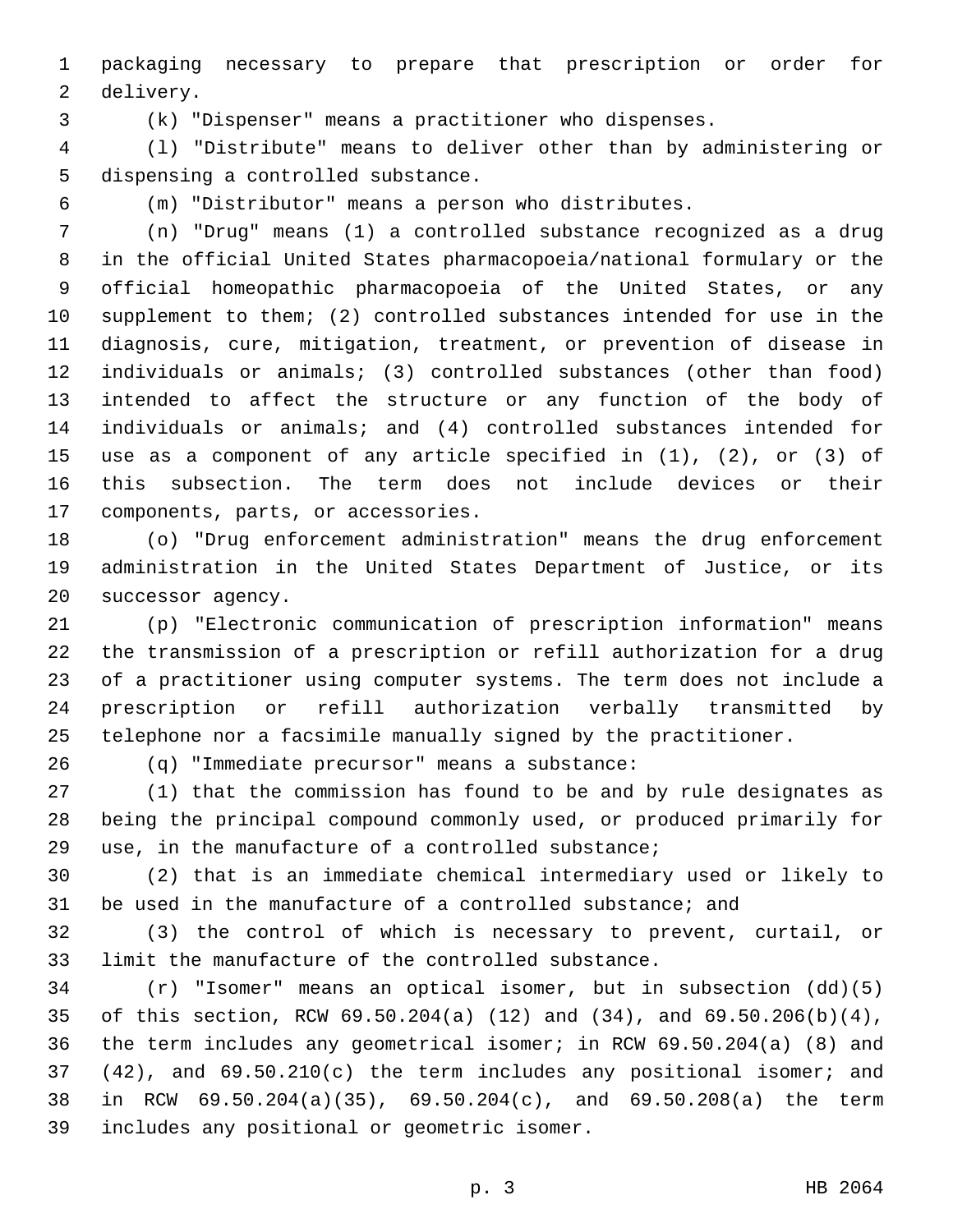packaging necessary to prepare that prescription or order for 2 delivery.

(k) "Dispenser" means a practitioner who dispenses.

 (l) "Distribute" means to deliver other than by administering or 5 dispensing a controlled substance.

(m) "Distributor" means a person who distributes.

 (n) "Drug" means (1) a controlled substance recognized as a drug in the official United States pharmacopoeia/national formulary or the official homeopathic pharmacopoeia of the United States, or any supplement to them; (2) controlled substances intended for use in the diagnosis, cure, mitigation, treatment, or prevention of disease in individuals or animals; (3) controlled substances (other than food) intended to affect the structure or any function of the body of individuals or animals; and (4) controlled substances intended for use as a component of any article specified in (1), (2), or (3) of this subsection. The term does not include devices or their 17 components, parts, or accessories.

 (o) "Drug enforcement administration" means the drug enforcement administration in the United States Department of Justice, or its 20 successor agency.

 (p) "Electronic communication of prescription information" means the transmission of a prescription or refill authorization for a drug of a practitioner using computer systems. The term does not include a prescription or refill authorization verbally transmitted by telephone nor a facsimile manually signed by the practitioner.

(q) "Immediate precursor" means a substance:26

 (1) that the commission has found to be and by rule designates as being the principal compound commonly used, or produced primarily for use, in the manufacture of a controlled substance;

 (2) that is an immediate chemical intermediary used or likely to be used in the manufacture of a controlled substance; and

 (3) the control of which is necessary to prevent, curtail, or limit the manufacture of the controlled substance.

 (r) "Isomer" means an optical isomer, but in subsection (dd)(5) of this section, RCW 69.50.204(a) (12) and (34), and 69.50.206(b)(4), the term includes any geometrical isomer; in RCW 69.50.204(a) (8) and (42), and 69.50.210(c) the term includes any positional isomer; and in RCW 69.50.204(a)(35), 69.50.204(c), and 69.50.208(a) the term includes any positional or geometric isomer.39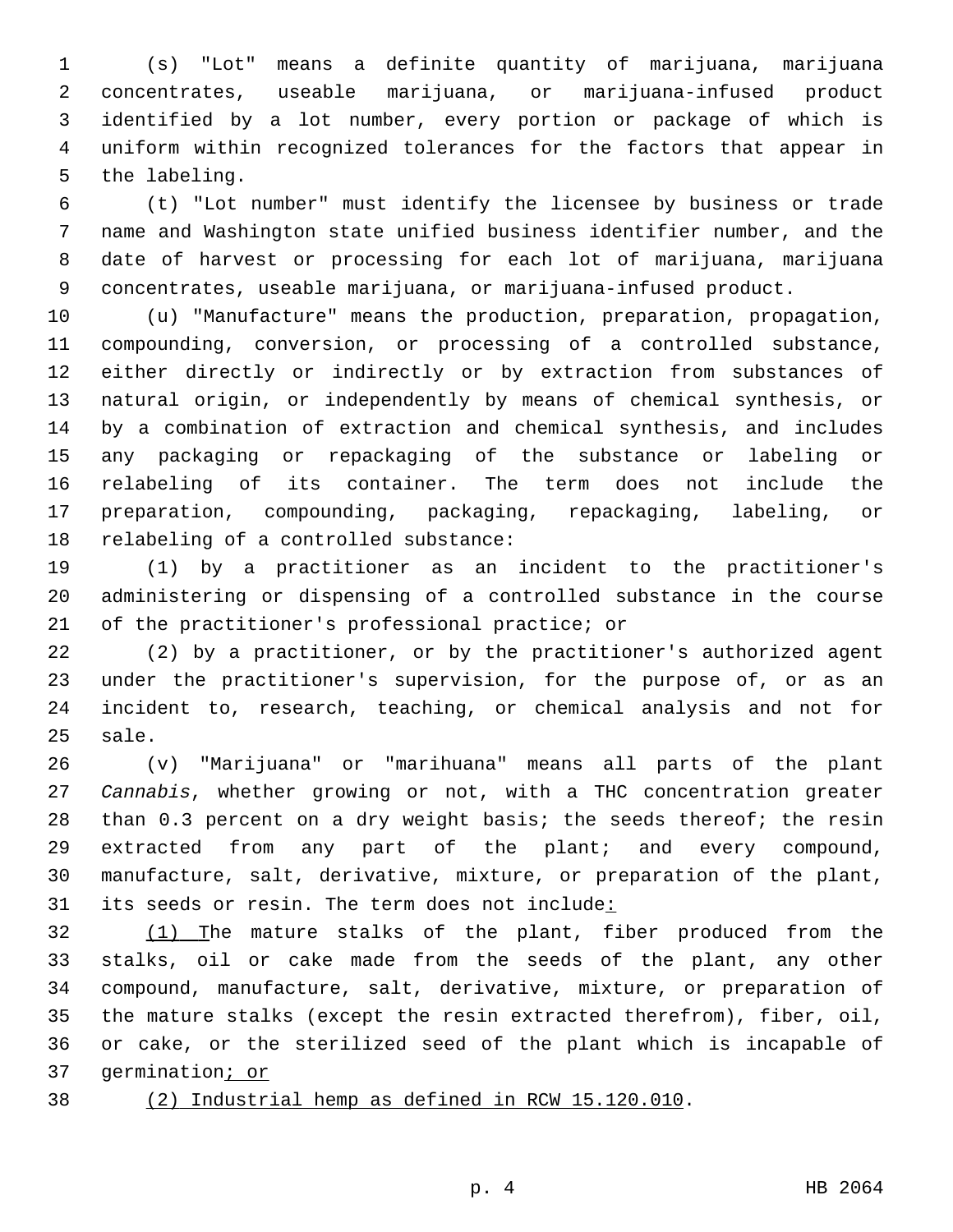(s) "Lot" means a definite quantity of marijuana, marijuana concentrates, useable marijuana, or marijuana-infused product identified by a lot number, every portion or package of which is uniform within recognized tolerances for the factors that appear in 5 the labeling.

 (t) "Lot number" must identify the licensee by business or trade name and Washington state unified business identifier number, and the date of harvest or processing for each lot of marijuana, marijuana concentrates, useable marijuana, or marijuana-infused product.

 (u) "Manufacture" means the production, preparation, propagation, compounding, conversion, or processing of a controlled substance, either directly or indirectly or by extraction from substances of natural origin, or independently by means of chemical synthesis, or by a combination of extraction and chemical synthesis, and includes any packaging or repackaging of the substance or labeling or relabeling of its container. The term does not include the preparation, compounding, packaging, repackaging, labeling, or 18 relabeling of a controlled substance:

 (1) by a practitioner as an incident to the practitioner's administering or dispensing of a controlled substance in the course 21 of the practitioner's professional practice; or

 (2) by a practitioner, or by the practitioner's authorized agent under the practitioner's supervision, for the purpose of, or as an incident to, research, teaching, or chemical analysis and not for 25 sale.

 (v) "Marijuana" or "marihuana" means all parts of the plant *Cannabis*, whether growing or not, with a THC concentration greater 28 than 0.3 percent on a dry weight basis; the seeds thereof; the resin extracted from any part of the plant; and every compound, manufacture, salt, derivative, mixture, or preparation of the plant, 31 its seeds or resin. The term does not include:

32 (1) The mature stalks of the plant, fiber produced from the stalks, oil or cake made from the seeds of the plant, any other compound, manufacture, salt, derivative, mixture, or preparation of the mature stalks (except the resin extracted therefrom), fiber, oil, or cake, or the sterilized seed of the plant which is incapable of germination; or

- 
- (2) Industrial hemp as defined in RCW 15.120.010.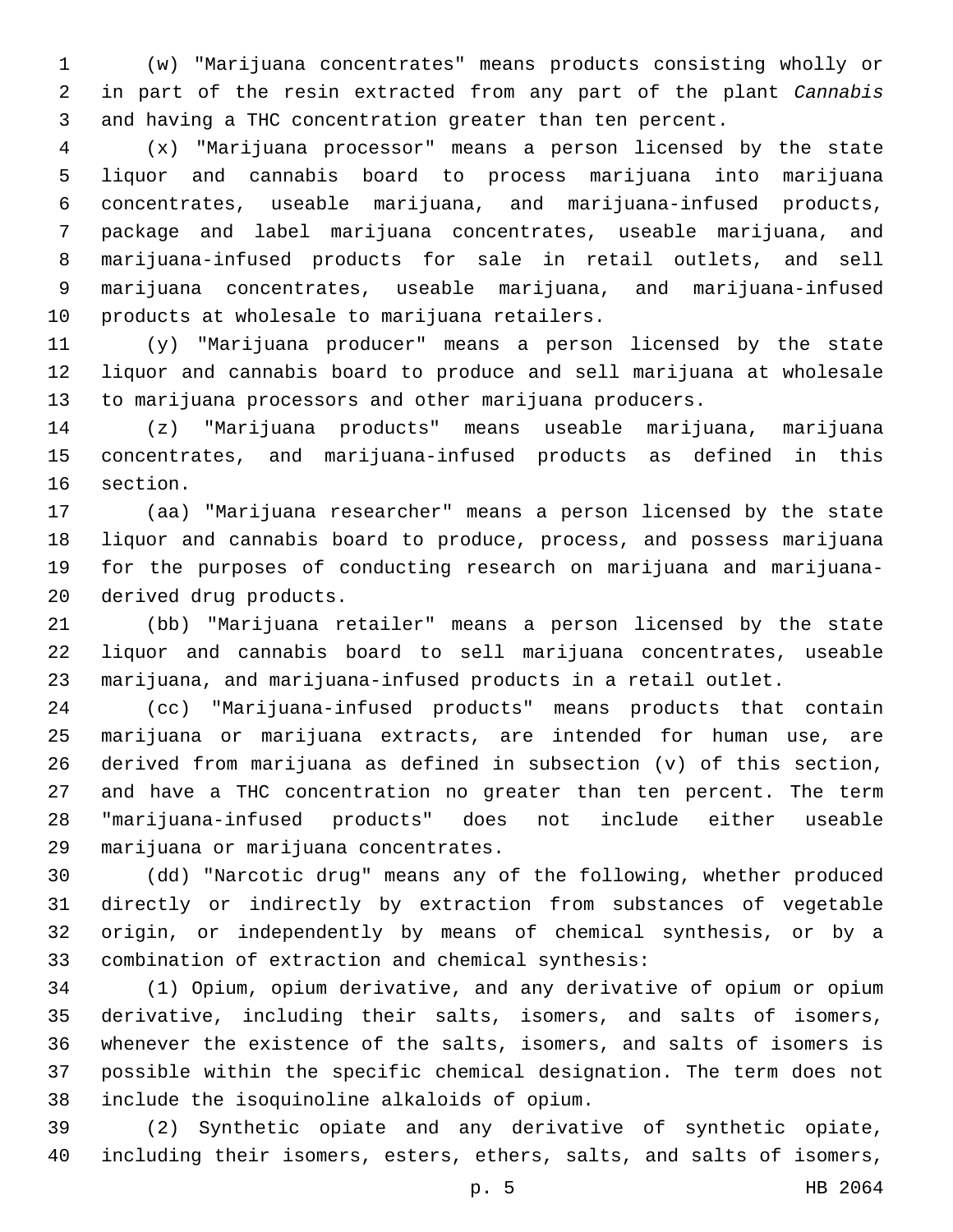(w) "Marijuana concentrates" means products consisting wholly or in part of the resin extracted from any part of the plant *Cannabis* and having a THC concentration greater than ten percent.

 (x) "Marijuana processor" means a person licensed by the state liquor and cannabis board to process marijuana into marijuana concentrates, useable marijuana, and marijuana-infused products, package and label marijuana concentrates, useable marijuana, and marijuana-infused products for sale in retail outlets, and sell marijuana concentrates, useable marijuana, and marijuana-infused 10 products at wholesale to marijuana retailers.

 (y) "Marijuana producer" means a person licensed by the state liquor and cannabis board to produce and sell marijuana at wholesale to marijuana processors and other marijuana producers.

 (z) "Marijuana products" means useable marijuana, marijuana concentrates, and marijuana-infused products as defined in this 16 section.

 (aa) "Marijuana researcher" means a person licensed by the state liquor and cannabis board to produce, process, and possess marijuana for the purposes of conducting research on marijuana and marijuana-20 derived drug products.

 (bb) "Marijuana retailer" means a person licensed by the state liquor and cannabis board to sell marijuana concentrates, useable marijuana, and marijuana-infused products in a retail outlet.

 (cc) "Marijuana-infused products" means products that contain marijuana or marijuana extracts, are intended for human use, are derived from marijuana as defined in subsection (v) of this section, and have a THC concentration no greater than ten percent. The term "marijuana-infused products" does not include either useable 29 marijuana or marijuana concentrates.

 (dd) "Narcotic drug" means any of the following, whether produced directly or indirectly by extraction from substances of vegetable origin, or independently by means of chemical synthesis, or by a 33 combination of extraction and chemical synthesis:

 (1) Opium, opium derivative, and any derivative of opium or opium derivative, including their salts, isomers, and salts of isomers, whenever the existence of the salts, isomers, and salts of isomers is possible within the specific chemical designation. The term does not include the isoquinoline alkaloids of opium.38

 (2) Synthetic opiate and any derivative of synthetic opiate, including their isomers, esters, ethers, salts, and salts of isomers,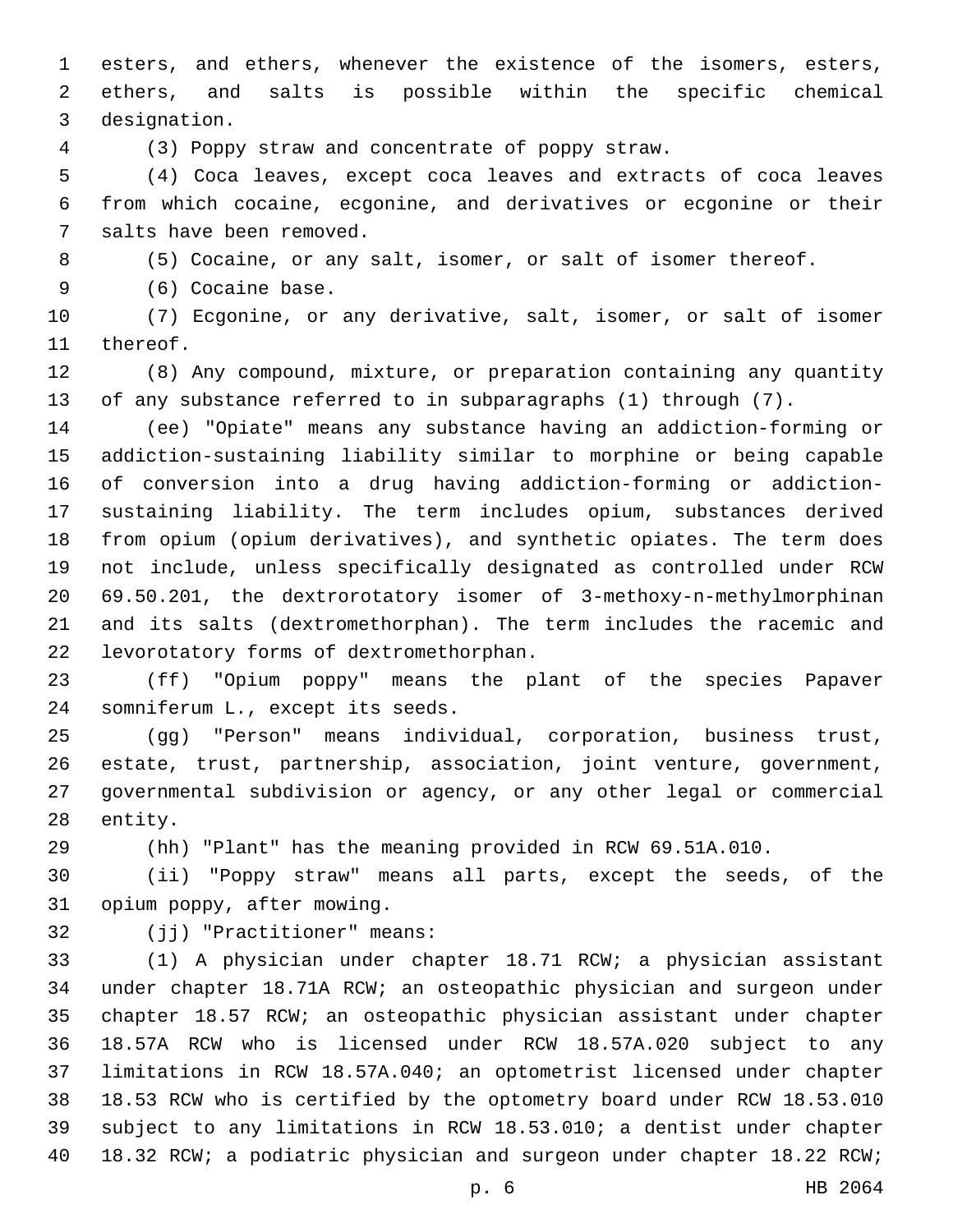esters, and ethers, whenever the existence of the isomers, esters, ethers, and salts is possible within the specific chemical 3 designation.

(3) Poppy straw and concentrate of poppy straw.

 (4) Coca leaves, except coca leaves and extracts of coca leaves from which cocaine, ecgonine, and derivatives or ecgonine or their 7 salts have been removed.

(5) Cocaine, or any salt, isomer, or salt of isomer thereof.

9 (6) Cocaine base.

 (7) Ecgonine, or any derivative, salt, isomer, or salt of isomer 11 thereof.

 (8) Any compound, mixture, or preparation containing any quantity of any substance referred to in subparagraphs (1) through (7).

 (ee) "Opiate" means any substance having an addiction-forming or addiction-sustaining liability similar to morphine or being capable of conversion into a drug having addiction-forming or addiction- sustaining liability. The term includes opium, substances derived from opium (opium derivatives), and synthetic opiates. The term does not include, unless specifically designated as controlled under RCW 69.50.201, the dextrorotatory isomer of 3-methoxy-n-methylmorphinan and its salts (dextromethorphan). The term includes the racemic and levorotatory forms of dextromethorphan.22

 (ff) "Opium poppy" means the plant of the species Papaver 24 somniferum L., except its seeds.

 (gg) "Person" means individual, corporation, business trust, estate, trust, partnership, association, joint venture, government, governmental subdivision or agency, or any other legal or commercial 28 entity.

(hh) "Plant" has the meaning provided in RCW 69.51A.010.

 (ii) "Poppy straw" means all parts, except the seeds, of the 31 opium poppy, after mowing.

32 (jj) "Practitioner" means:

 (1) A physician under chapter 18.71 RCW; a physician assistant under chapter 18.71A RCW; an osteopathic physician and surgeon under chapter 18.57 RCW; an osteopathic physician assistant under chapter 18.57A RCW who is licensed under RCW 18.57A.020 subject to any limitations in RCW 18.57A.040; an optometrist licensed under chapter 18.53 RCW who is certified by the optometry board under RCW 18.53.010 subject to any limitations in RCW 18.53.010; a dentist under chapter 18.32 RCW; a podiatric physician and surgeon under chapter 18.22 RCW;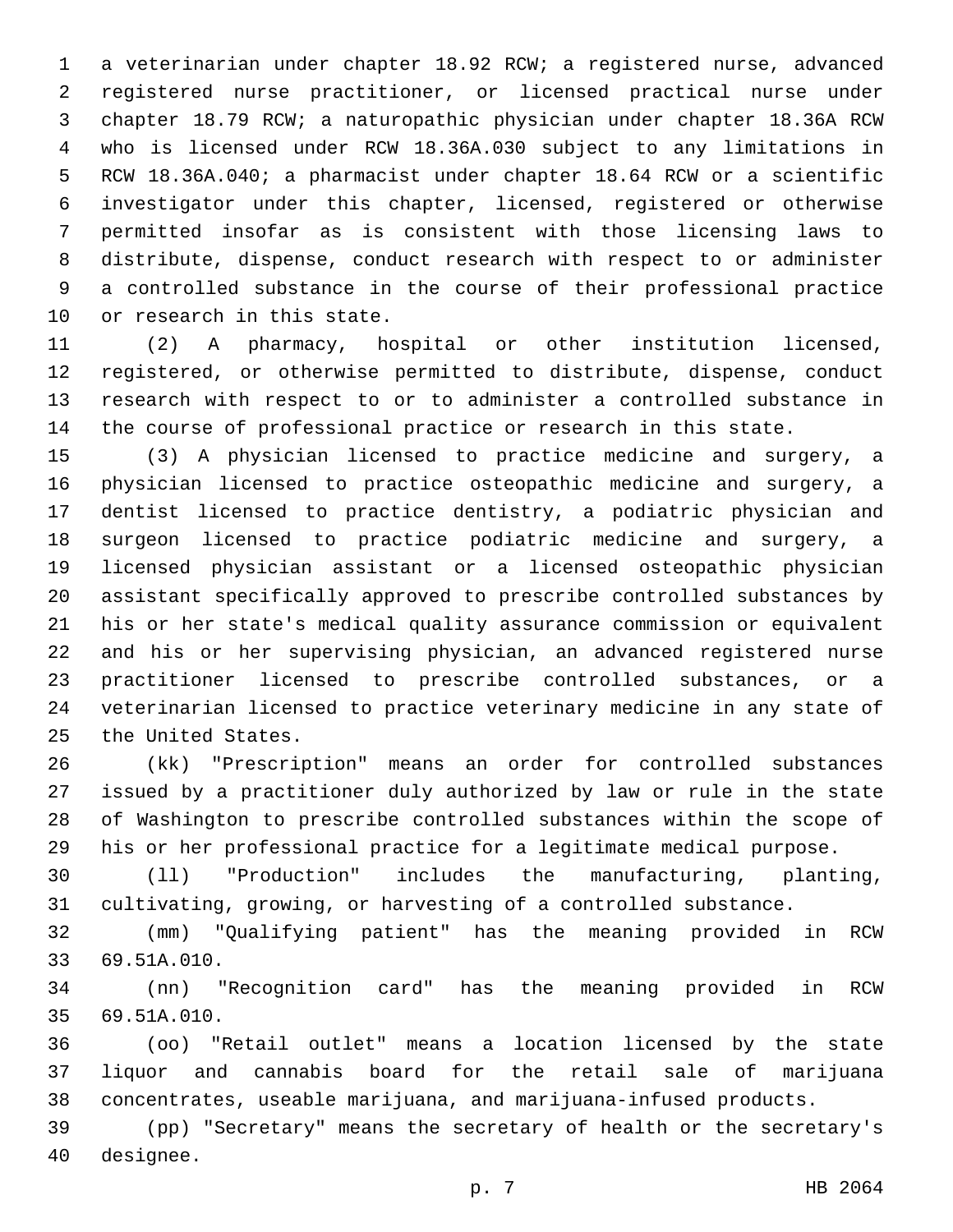a veterinarian under chapter 18.92 RCW; a registered nurse, advanced registered nurse practitioner, or licensed practical nurse under chapter 18.79 RCW; a naturopathic physician under chapter 18.36A RCW who is licensed under RCW 18.36A.030 subject to any limitations in RCW 18.36A.040; a pharmacist under chapter 18.64 RCW or a scientific investigator under this chapter, licensed, registered or otherwise permitted insofar as is consistent with those licensing laws to distribute, dispense, conduct research with respect to or administer a controlled substance in the course of their professional practice 10 or research in this state.

 (2) A pharmacy, hospital or other institution licensed, registered, or otherwise permitted to distribute, dispense, conduct research with respect to or to administer a controlled substance in the course of professional practice or research in this state.

 (3) A physician licensed to practice medicine and surgery, a physician licensed to practice osteopathic medicine and surgery, a dentist licensed to practice dentistry, a podiatric physician and surgeon licensed to practice podiatric medicine and surgery, a licensed physician assistant or a licensed osteopathic physician assistant specifically approved to prescribe controlled substances by his or her state's medical quality assurance commission or equivalent and his or her supervising physician, an advanced registered nurse practitioner licensed to prescribe controlled substances, or a veterinarian licensed to practice veterinary medicine in any state of 25 the United States.

 (kk) "Prescription" means an order for controlled substances issued by a practitioner duly authorized by law or rule in the state of Washington to prescribe controlled substances within the scope of his or her professional practice for a legitimate medical purpose.

 (ll) "Production" includes the manufacturing, planting, cultivating, growing, or harvesting of a controlled substance.

 (mm) "Qualifying patient" has the meaning provided in RCW 69.51A.010.33

 (nn) "Recognition card" has the meaning provided in RCW 69.51A.010.35

 (oo) "Retail outlet" means a location licensed by the state liquor and cannabis board for the retail sale of marijuana concentrates, useable marijuana, and marijuana-infused products.

 (pp) "Secretary" means the secretary of health or the secretary's 40 designee.